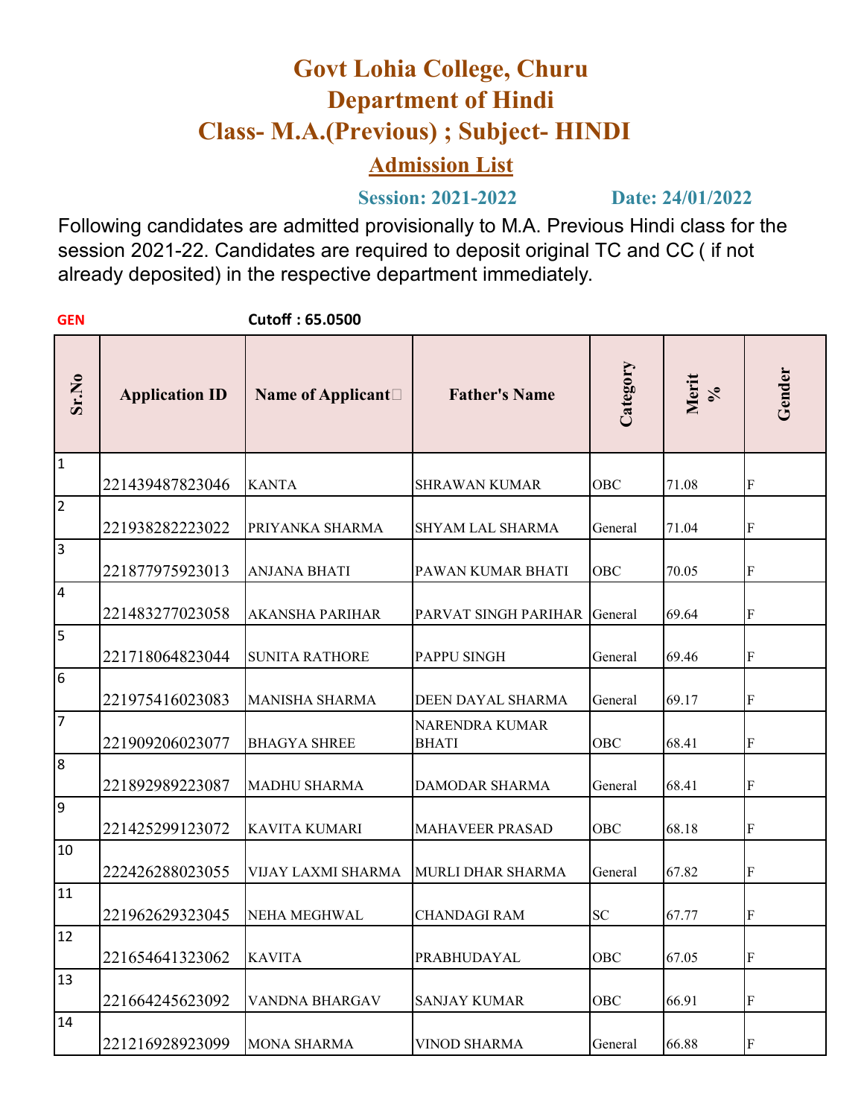# **Govt Lohia College, Churu Department of Hindi Class- M.A.(Previous) ; Subject- HINDI**

## **Admission List**

**Session: 2021-2022 Date: 24/01/2022**

Following candidates are admitted provisionally to M.A. Previous Hindi class for the session 2021-22. Candidates are required to deposit original TC and CC ( if not already deposited) in the respective department immediately.

| <b>GEN</b>              |                       | Cutoff: 65.0500             |                                |            |            |                           |
|-------------------------|-----------------------|-----------------------------|--------------------------------|------------|------------|---------------------------|
| Sr.No                   | <b>Application ID</b> | Name of Applicant $\square$ | <b>Father's Name</b>           | Category   | Merit<br>% | Gender                    |
| 1                       | 221439487823046       | <b>KANTA</b>                | <b>SHRAWAN KUMAR</b>           | OBC        | 71.08      | $\boldsymbol{\mathrm{F}}$ |
| 2                       | 221938282223022       | PRIYANKA SHARMA             | SHYAM LAL SHARMA               | General    | 71.04      | F                         |
| $\overline{\mathbf{3}}$ | 221877975923013       | ANJANA BHATI                | PAWAN KUMAR BHATI              | OBC        | 70.05      | F                         |
| $\overline{4}$          | 221483277023058       | <b>AKANSHA PARIHAR</b>      | PARVAT SINGH PARIHAR           | General    | 69.64      | F                         |
| $\overline{5}$          | 221718064823044       | <b>SUNITA RATHORE</b>       | PAPPU SINGH                    | General    | 69.46      | F                         |
| 6                       | 221975416023083       | <b>MANISHA SHARMA</b>       | DEEN DAYAL SHARMA              | General    | 69.17      | F                         |
| 7                       | 221909206023077       | <b>BHAGYA SHREE</b>         | NARENDRA KUMAR<br><b>BHATI</b> | <b>OBC</b> | 68.41      | F                         |
| 8                       | 221892989223087       | <b>MADHU SHARMA</b>         | <b>DAMODAR SHARMA</b>          | General    | 68.41      | F                         |
| 9                       | 221425299123072       | KAVITA KUMARI               | <b>MAHAVEER PRASAD</b>         | OBC        | 68.18      | F                         |
| 10                      | 222426288023055       | VIJAY LAXMI SHARMA          | <b>MURLI DHAR SHARMA</b>       | General    | 67.82      | F                         |
| 11                      | 221962629323045       | NEHA MEGHWAL                | <b>CHANDAGI RAM</b>            | <b>SC</b>  | 67.77      | F                         |
| 12                      | 221654641323062       | <b>KAVITA</b>               | PRABHUDAYAL                    | OBC        | 67.05      | F                         |
| 13                      | 221664245623092       | VANDNA BHARGAV              | <b>SANJAY KUMAR</b>            | <b>OBC</b> | 66.91      | $\boldsymbol{\mathrm{F}}$ |
| 14                      | 221216928923099       | <b>MONA SHARMA</b>          | <b>VINOD SHARMA</b>            | General    | 66.88      | F                         |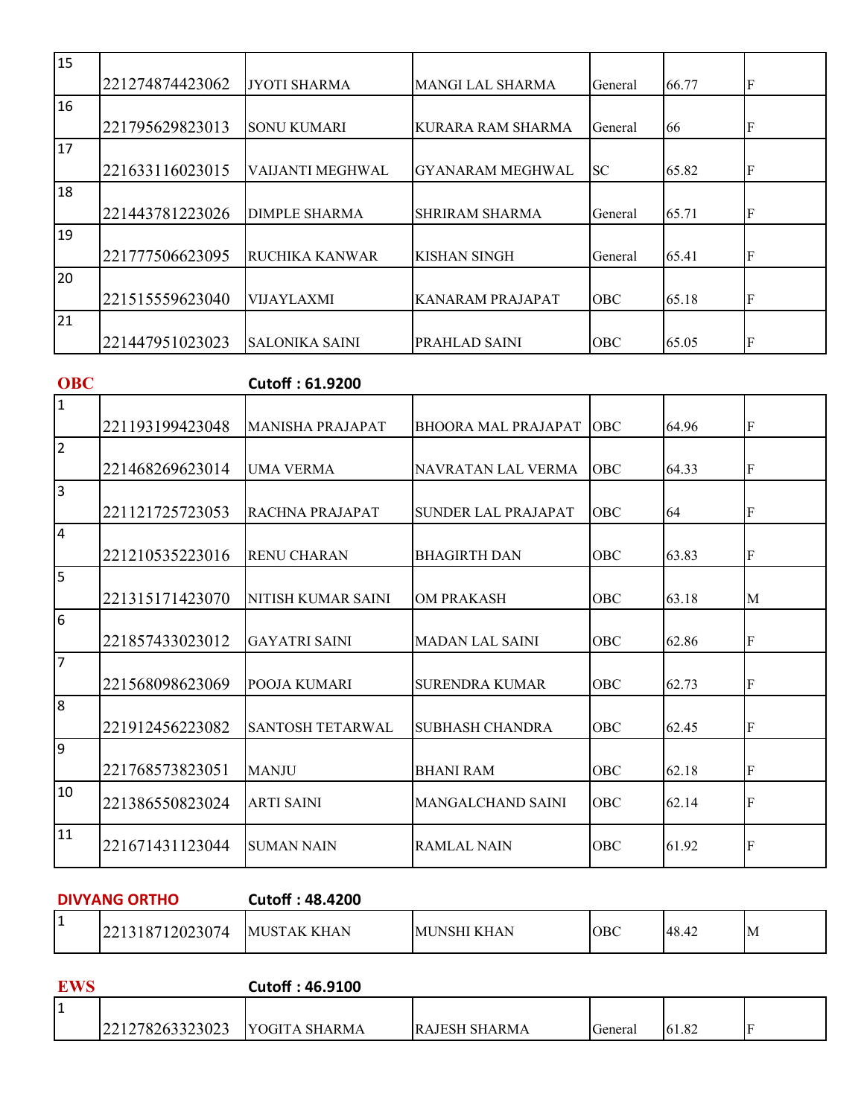| 15 | 221274874423062 | <b>JYOTI SHARMA</b>     | <b>MANGI LAL SHARMA</b>  | General    | 66.77 | F |
|----|-----------------|-------------------------|--------------------------|------------|-------|---|
| 16 |                 |                         |                          |            |       |   |
|    | 221795629823013 | <b>SONU KUMARI</b>      | <b>KURARA RAM SHARMA</b> | General    | 66    | F |
| 17 |                 |                         |                          |            |       |   |
|    | 221633116023015 | <b>VAIJANTI MEGHWAL</b> | <b>GYANARAM MEGHWAL</b>  | SC.        | 65.82 | F |
| 18 |                 |                         |                          |            |       |   |
|    | 221443781223026 | <b>DIMPLE SHARMA</b>    | <b>SHRIRAM SHARMA</b>    | General    | 65.71 | F |
| 19 |                 |                         |                          |            |       |   |
|    | 221777506623095 | <b>RUCHIKA KANWAR</b>   | <b>KISHAN SINGH</b>      | General    | 65.41 | F |
| 20 |                 |                         |                          |            |       |   |
|    | 221515559623040 | <b>VIJAYLAXMI</b>       | <b>KANARAM PRAJAPAT</b>  | <b>OBC</b> | 65.18 | F |
| 21 |                 |                         |                          |            |       |   |
|    | 221447951023023 | <b>SALONIKA SAINI</b>   | PRAHLAD SAINI            | OBC        | 65.05 | F |

| <b>OBC</b>              |                 | Cutoff: 61.9200         |                            |            |       |           |
|-------------------------|-----------------|-------------------------|----------------------------|------------|-------|-----------|
| $\mathbf{1}$            |                 |                         |                            |            |       |           |
|                         | 221193199423048 | <b>MANISHA PRAJAPAT</b> | <b>BHOORA MAL PRAJAPAT</b> | <b>OBC</b> | 64.96 | lF        |
| $\overline{2}$          |                 |                         |                            |            |       |           |
|                         | 221468269623014 | <b>UMA VERMA</b>        | NAVRATAN LAL VERMA         | <b>OBC</b> | 64.33 | lf        |
| $\overline{\mathbf{3}}$ | 221121725723053 | RACHNA PRAJAPAT         | <b>SUNDER LAL PRAJAPAT</b> | <b>OBC</b> | 64    | lf        |
| $\overline{4}$          |                 |                         |                            |            |       |           |
|                         | 221210535223016 | <b>RENU CHARAN</b>      | <b>BHAGIRTH DAN</b>        | <b>OBC</b> | 63.83 | ${\bf F}$ |
| 5                       |                 |                         |                            |            |       |           |
|                         | 221315171423070 | NITISH KUMAR SAINI      | <b>OM PRAKASH</b>          | OBC        | 63.18 | M         |
| 6                       |                 |                         |                            |            |       |           |
|                         | 221857433023012 | <b>GAYATRI SAINI</b>    | <b>MADAN LAL SAINI</b>     | <b>OBC</b> | 62.86 | lF        |
| $\overline{7}$          |                 |                         |                            |            |       |           |
|                         | 221568098623069 | POOJA KUMARI            | <b>SURENDRA KUMAR</b>      | OBC        | 62.73 | ${\bf F}$ |
| $\overline{8}$          |                 |                         |                            |            |       |           |
|                         | 221912456223082 | <b>SANTOSH TETARWAL</b> | SUBHASH CHANDRA            | <b>OBC</b> | 62.45 | lf        |
| $\overline{9}$          |                 |                         |                            |            |       |           |
|                         | 221768573823051 | <b>MANJU</b>            | <b>BHANI RAM</b>           | <b>OBC</b> | 62.18 | F         |
| 10                      | 221386550823024 | <b>ARTI SAINI</b>       | <b>MANGALCHAND SAINI</b>   | <b>OBC</b> | 62.14 | F         |
| 11                      | 221671431123044 | <b>SUMAN NAIN</b>       | <b>RAMLAL NAIN</b>         | <b>OBC</b> | 61.92 | F         |

#### **DIVYANG ORTHO Cutoff : 48.4200**

| . . | 12023074<br>$\sim$<br>221318 | KHAN<br>ΑK<br>I M. | KHAN<br>MU<br>NN. | <b>IOBC</b> | 148.42 | ١M |
|-----|------------------------------|--------------------|-------------------|-------------|--------|----|
|-----|------------------------------|--------------------|-------------------|-------------|--------|----|

| <b>EWS</b> |                 | <b>Cutoff: 46.9100</b> |                |         |       |  |
|------------|-----------------|------------------------|----------------|---------|-------|--|
|            |                 |                        |                |         |       |  |
|            | 221278263323023 | IYOGITA SHARMA         | IRAJESH SHARMA | General | 61.82 |  |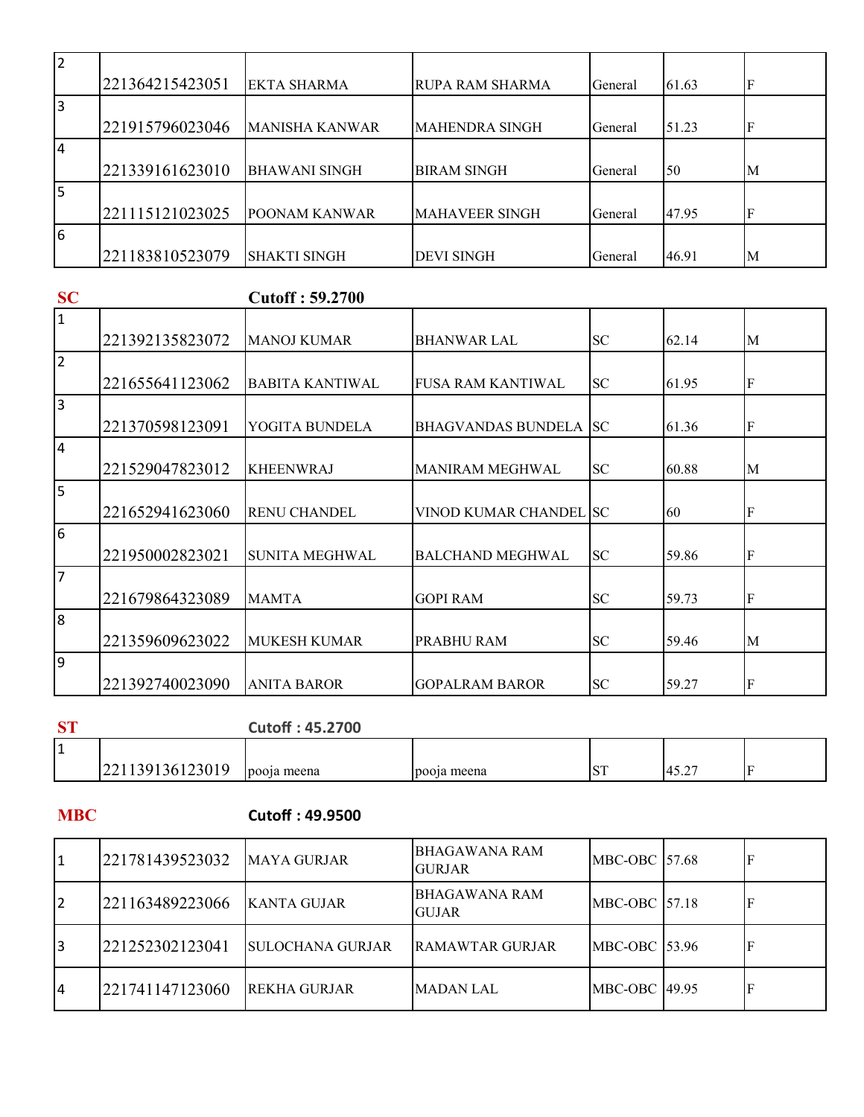| $\overline{2}$ |                 |                       |                       |         |       |   |
|----------------|-----------------|-----------------------|-----------------------|---------|-------|---|
|                | 221364215423051 | IEKTA SHARMA          | RUPA RAM SHARMA       | General | 61.63 | F |
| 3              |                 |                       |                       |         |       |   |
|                | 221915796023046 | <b>MANISHA KANWAR</b> | <b>MAHENDRA SINGH</b> | General | 51.23 |   |
| 14             |                 |                       |                       |         |       |   |
|                | 221339161623010 | <b>BHAWANI SINGH</b>  | <b>BIRAM SINGH</b>    | General | 50    | M |
| l5             |                 |                       |                       |         |       |   |
|                | 221115121023025 | <b>POONAM KANWAR</b>  | <b>MAHAVEER SINGH</b> | General | 47.95 |   |
| $\sqrt{6}$     |                 |                       |                       |         |       |   |
|                | 221183810523079 | ISHAKTI SINGH         | <b>DEVI SINGH</b>     | General | 46.91 | M |

#### **SC Cutoff : 59.2700**

| 1              |                 |                        |                           |            |       |   |
|----------------|-----------------|------------------------|---------------------------|------------|-------|---|
|                | 221392135823072 | <b>MANOJ KUMAR</b>     | <b>BHANWAR LAL</b>        | <b>SC</b>  | 62.14 | M |
| $\overline{2}$ |                 |                        |                           |            |       |   |
|                | 221655641123062 | <b>BABITA KANTIWAL</b> | <b>FUSA RAM KANTIWAL</b>  | <b>SC</b>  | 61.95 | F |
| l3             |                 |                        |                           |            |       |   |
|                | 221370598123091 | YOGITA BUNDELA         | <b>BHAGVANDAS BUNDELA</b> | <b>ISC</b> | 61.36 | F |
| 14             |                 |                        |                           |            |       |   |
|                | 221529047823012 | <b>KHEENWRAJ</b>       | MANIRAM MEGHWAL           | <b>SC</b>  | 60.88 | M |
| 5              |                 |                        |                           |            |       |   |
|                | 221652941623060 | <b>RENU CHANDEL</b>    | VINOD KUMAR CHANDEL SC    |            | 60    | F |
| $\overline{6}$ |                 |                        |                           |            |       |   |
|                | 221950002823021 | <b>SUNITA MEGHWAL</b>  | <b>BALCHAND MEGHWAL</b>   | <b>SC</b>  | 59.86 | F |
| $\overline{7}$ |                 |                        |                           |            |       |   |
|                | 221679864323089 | <b>MAMTA</b>           | <b>GOPI RAM</b>           | <b>SC</b>  | 59.73 | F |
| 8              |                 |                        |                           |            |       |   |
|                | 221359609623022 | <b>MUKESH KUMAR</b>    | PRABHU RAM                | <b>SC</b>  | 59.46 | M |
| l9             |                 |                        |                           |            |       |   |
|                | 221392740023090 | <b>ANITA BAROR</b>     | <b>GOPALRAM BAROR</b>     | <b>SC</b>  | 59.27 | F |

#### **ST Cutoff : 45.2700**

| і 4<br>. . |                                          |             |             |                                              |  |
|------------|------------------------------------------|-------------|-------------|----------------------------------------------|--|
|            | 10001c<br>.ບ∶<br>۹h<br>.<br>0.14301<br>∸ | rooja meena | pooja meena | $A \subset \bigcap$<br>$\mathbf{4}$<br>− ⊃۰∠ |  |

#### **MBC Cutoff : 49.9500**

| 11 | 221781439523032 | <b>IMAYA GURJAR</b>  | BHAGAWANA RAM<br><b>GURJAR</b>       | <b>MBC-OBC 157.68</b>  |  |
|----|-----------------|----------------------|--------------------------------------|------------------------|--|
| 12 | 221163489223066 | <b>IKANTA GUJAR</b>  | <b>BHAGAWANA RAM</b><br><b>GUJAR</b> | <b>MBC-OBC 157.18</b>  |  |
| I3 | 221252302123041 | ISULOCHANA GURJAR    | <b>RAMAWTAR GURJAR</b>               | <b>MBC-OBC 153.96</b>  |  |
| I4 | 221741147123060 | <b>IREKHA GURJAR</b> | MADAN LAL                            | <b>IMBC-OBC 149.95</b> |  |